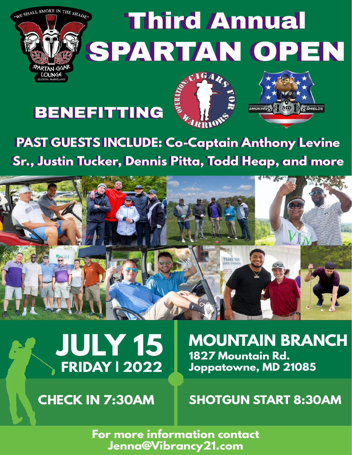

## Third Annual Third Annual SPARTAN OPEN SPARTAN OPEN

## BENEFITTING





### **PAST GUESTS INCLUDE: Co-Captain Anthony Levine PAST GUESTS INCLUDE: Co-Captain Anthony Levine** Sr., Justin Tucker, Dennis Pitta, Todd Heap, and more





**MOUNTAIN BRANCH 1827 Mountain Rd. Joppatowne, MD 21085**

**CHECK IN 7:30AM SHOTGUN START 8:30AM**

**For more information contact Jenna@Vibrancy21.com**